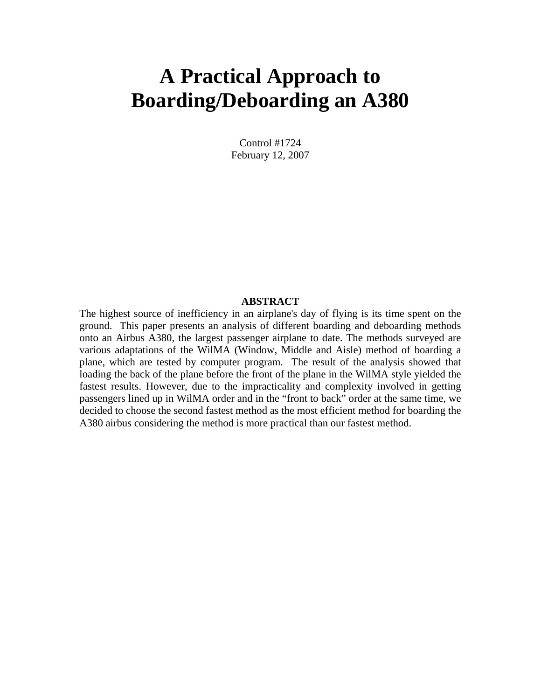# **A Practical Approach to Boarding/Deboarding an A380**

Control #1724 February 12, 2007

#### **ABSTRACT**

The highest source of inefficiency in an airplane's day of flying is its time spent on the ground. This paper presents an analysis of different boarding and deboarding methods onto an Airbus A380, the largest passenger airplane to date. The methods surveyed are various adaptations of the WilMA (Window, Middle and Aisle) method of boarding a plane, which are tested by computer program. The result of the analysis showed that loading the back of the plane before the front of the plane in the WilMA style yielded the fastest results. However, due to the impracticality and complexity involved in getting passengers lined up in WilMA order and in the "front to back" order at the same time, we decided to choose the second fastest method as the most efficient method for boarding the A380 airbus considering the method is more practical than our fastest method.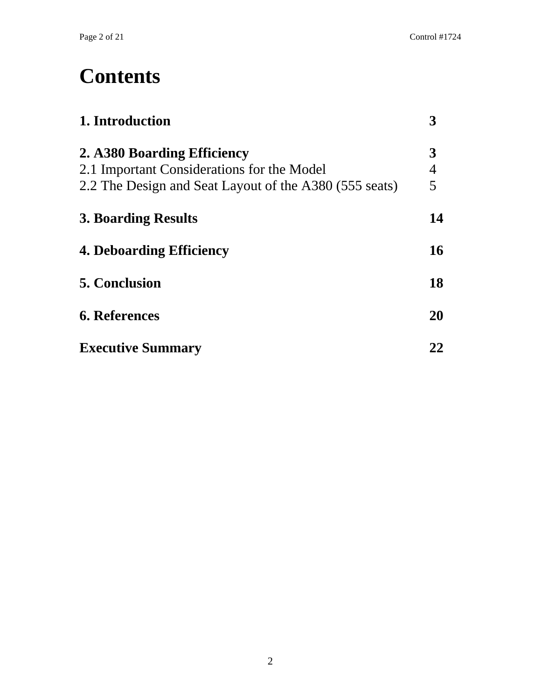# **Contents**

| 1. Introduction                                        |                |
|--------------------------------------------------------|----------------|
| 2. A380 Boarding Efficiency                            | 3              |
| 2.1 Important Considerations for the Model             | $\overline{4}$ |
| 2.2 The Design and Seat Layout of the A380 (555 seats) | 5              |
| <b>3. Boarding Results</b>                             | 14             |
| <b>4. Deboarding Efficiency</b>                        | 16             |
| <b>5. Conclusion</b>                                   | 18             |
| <b>6. References</b>                                   | <b>20</b>      |
| <b>Executive Summary</b>                               | 22             |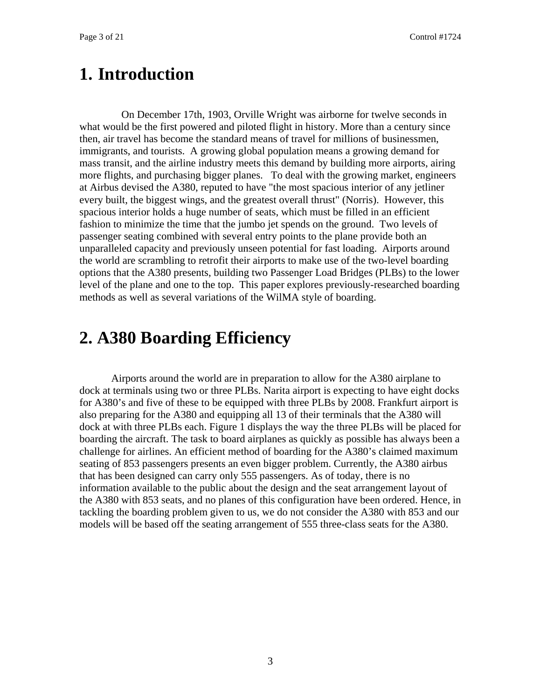#### **1. Introduction**

On December 17th, 1903, Orville Wright was airborne for twelve seconds in what would be the first powered and piloted flight in history. More than a century since then, air travel has become the standard means of travel for millions of businessmen, immigrants, and tourists. A growing global population means a growing demand for mass transit, and the airline industry meets this demand by building more airports, airing more flights, and purchasing bigger planes. To deal with the growing market, engineers at Airbus devised the A380, reputed to have "the most spacious interior of any jetliner every built, the biggest wings, and the greatest overall thrust" (Norris). However, this spacious interior holds a huge number of seats, which must be filled in an efficient fashion to minimize the time that the jumbo jet spends on the ground. Two levels of passenger seating combined with several entry points to the plane provide both an unparalleled capacity and previously unseen potential for fast loading. Airports around the world are scrambling to retrofit their airports to make use of the two-level boarding options that the A380 presents, building two Passenger Load Bridges (PLBs) to the lower level of the plane and one to the top. This paper explores previously-researched boarding methods as well as several variations of the WilMA style of boarding.

#### **2. A380 Boarding Efficiency**

Airports around the world are in preparation to allow for the A380 airplane to dock at terminals using two or three PLBs. Narita airport is expecting to have eight docks for A380's and five of these to be equipped with three PLBs by 2008. Frankfurt airport is also preparing for the A380 and equipping all 13 of their terminals that the A380 will dock at with three PLBs each. Figure 1 displays the way the three PLBs will be placed for boarding the aircraft. The task to board airplanes as quickly as possible has always been a challenge for airlines. An efficient method of boarding for the A380's claimed maximum seating of 853 passengers presents an even bigger problem. Currently, the A380 airbus that has been designed can carry only 555 passengers. As of today, there is no information available to the public about the design and the seat arrangement layout of the A380 with 853 seats, and no planes of this configuration have been ordered. Hence, in tackling the boarding problem given to us, we do not consider the A380 with 853 and our models will be based off the seating arrangement of 555 three-class seats for the A380.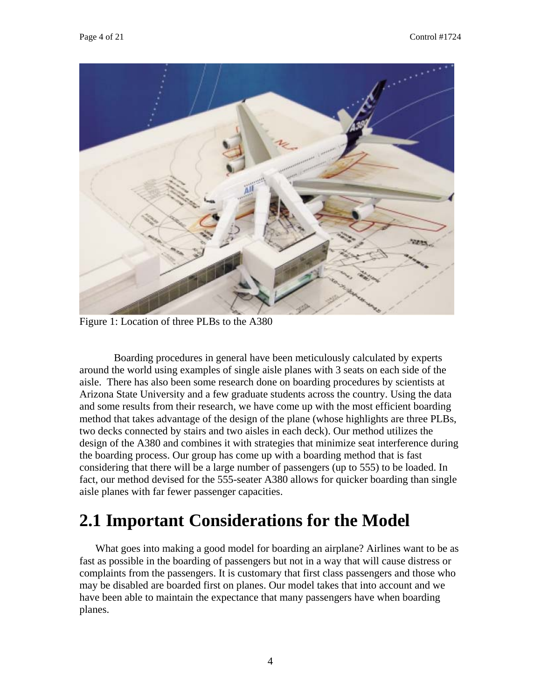

Figure 1: Location of three PLBs to the A380

 Boarding procedures in general have been meticulously calculated by experts around the world using examples of single aisle planes with 3 seats on each side of the aisle. There has also been some research done on boarding procedures by scientists at Arizona State University and a few graduate students across the country. Using the data and some results from their research, we have come up with the most efficient boarding method that takes advantage of the design of the plane (whose highlights are three PLBs, two decks connected by stairs and two aisles in each deck). Our method utilizes the design of the A380 and combines it with strategies that minimize seat interference during the boarding process. Our group has come up with a boarding method that is fast considering that there will be a large number of passengers (up to 555) to be loaded. In fact, our method devised for the 555-seater A380 allows for quicker boarding than single aisle planes with far fewer passenger capacities.

## **2.1 Important Considerations for the Model**

What goes into making a good model for boarding an airplane? Airlines want to be as fast as possible in the boarding of passengers but not in a way that will cause distress or complaints from the passengers. It is customary that first class passengers and those who may be disabled are boarded first on planes. Our model takes that into account and we have been able to maintain the expectance that many passengers have when boarding planes.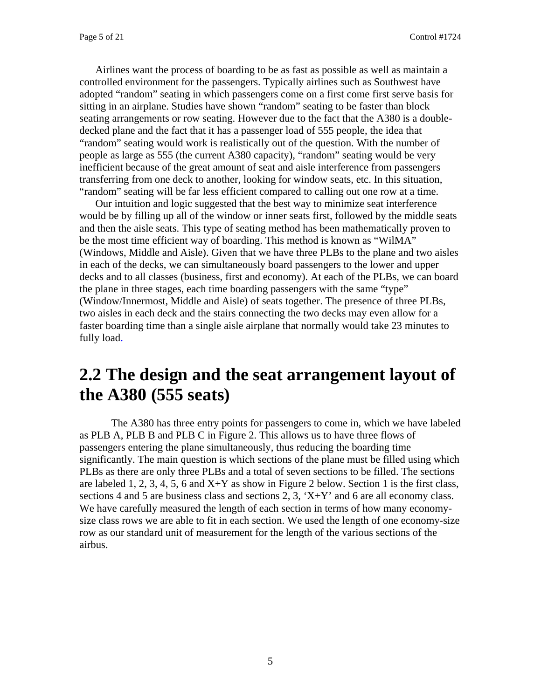Airlines want the process of boarding to be as fast as possible as well as maintain a controlled environment for the passengers. Typically airlines such as Southwest have adopted "random" seating in which passengers come on a first come first serve basis for sitting in an airplane. Studies have shown "random" seating to be faster than block seating arrangements or row seating. However due to the fact that the A380 is a doubledecked plane and the fact that it has a passenger load of 555 people, the idea that "random" seating would work is realistically out of the question. With the number of people as large as 555 (the current A380 capacity), "random" seating would be very inefficient because of the great amount of seat and aisle interference from passengers transferring from one deck to another, looking for window seats, etc. In this situation, "random" seating will be far less efficient compared to calling out one row at a time.

Our intuition and logic suggested that the best way to minimize seat interference would be by filling up all of the window or inner seats first, followed by the middle seats and then the aisle seats. This type of seating method has been mathematically proven to be the most time efficient way of boarding. This method is known as "WilMA" (Windows, Middle and Aisle). Given that we have three PLBs to the plane and two aisles in each of the decks, we can simultaneously board passengers to the lower and upper decks and to all classes (business, first and economy). At each of the PLBs, we can board the plane in three stages, each time boarding passengers with the same "type" (Window/Innermost, Middle and Aisle) of seats together. The presence of three PLBs, two aisles in each deck and the stairs connecting the two decks may even allow for a faster boarding time than a single aisle airplane that normally would take 23 minutes to fully load.

### **2.2 The design and the seat arrangement layout of the A380 (555 seats)**

The A380 has three entry points for passengers to come in, which we have labeled as PLB A, PLB B and PLB C in Figure 2. This allows us to have three flows of passengers entering the plane simultaneously, thus reducing the boarding time significantly. The main question is which sections of the plane must be filled using which PLBs as there are only three PLBs and a total of seven sections to be filled. The sections are labeled 1, 2, 3, 4, 5, 6 and  $X+Y$  as show in Figure 2 below. Section 1 is the first class, sections 4 and 5 are business class and sections 2, 3,  $X+Y'$  and 6 are all economy class. We have carefully measured the length of each section in terms of how many economysize class rows we are able to fit in each section. We used the length of one economy-size row as our standard unit of measurement for the length of the various sections of the airbus.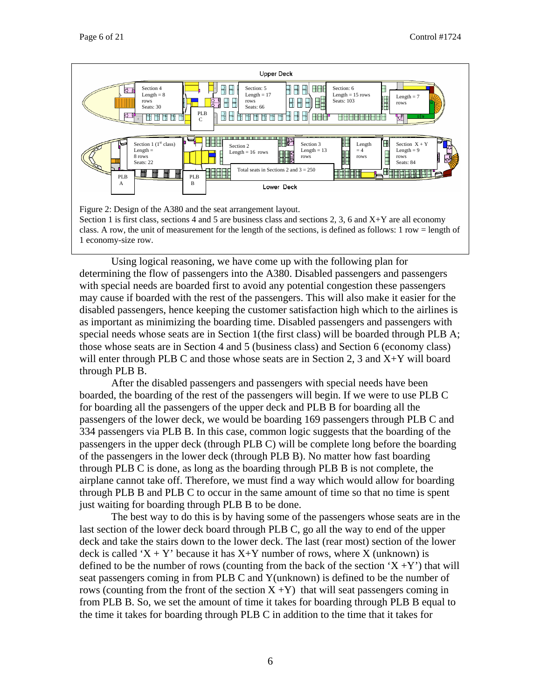

class. A row, the unit of measurement for the length of the sections, is defined as follows: 1 row = length of 1 economy-size row.

Using logical reasoning, we have come up with the following plan for determining the flow of passengers into the A380. Disabled passengers and passengers with special needs are boarded first to avoid any potential congestion these passengers may cause if boarded with the rest of the passengers. This will also make it easier for the disabled passengers, hence keeping the customer satisfaction high which to the airlines is as important as minimizing the boarding time. Disabled passengers and passengers with special needs whose seats are in Section 1(the first class) will be boarded through PLB A; those whose seats are in Section 4 and 5 (business class) and Section 6 (economy class) will enter through PLB C and those whose seats are in Section 2, 3 and X+Y will board through PLB B.

After the disabled passengers and passengers with special needs have been boarded, the boarding of the rest of the passengers will begin. If we were to use PLB C for boarding all the passengers of the upper deck and PLB B for boarding all the passengers of the lower deck, we would be boarding 169 passengers through PLB C and 334 passengers via PLB B. In this case, common logic suggests that the boarding of the passengers in the upper deck (through PLB C) will be complete long before the boarding of the passengers in the lower deck (through PLB B). No matter how fast boarding through PLB C is done, as long as the boarding through PLB B is not complete, the airplane cannot take off. Therefore, we must find a way which would allow for boarding through PLB B and PLB C to occur in the same amount of time so that no time is spent just waiting for boarding through PLB B to be done.

The best way to do this is by having some of the passengers whose seats are in the last section of the lower deck board through PLB C, go all the way to end of the upper deck and take the stairs down to the lower deck. The last (rear most) section of the lower deck is called 'X + Y' because it has  $X+Y$  number of rows, where X (unknown) is defined to be the number of rows (counting from the back of the section  $(X + Y)$ ) that will seat passengers coming in from PLB C and Y(unknown) is defined to be the number of rows (counting from the front of the section  $X + Y$ ) that will seat passengers coming in from PLB B. So, we set the amount of time it takes for boarding through PLB B equal to the time it takes for boarding through PLB C in addition to the time that it takes for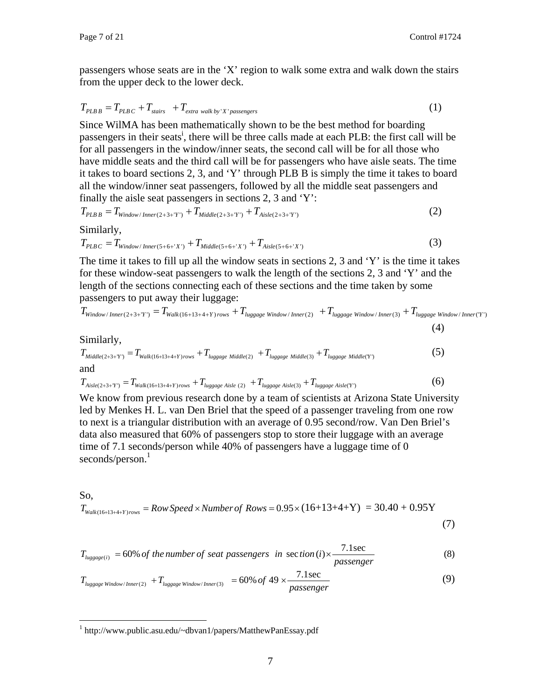passengers whose seats are in the 'X' region to walk some extra and walk down the stairs from the upper deck to the lower deck.

$$
T_{PLBB} = T_{PLBC} + T_{\text{stairs}} + T_{\text{extra walk by 'X' passengers}} \tag{1}
$$

Since WilMA has been mathematically shown to be the best method for boarding passengers [i](#page-20-0)n their seats<sup>i</sup>, there will be three calls made at each PLB: the first call will be for all passengers in the window/inner seats, the second call will be for all those who have middle seats and the third call will be for passengers who have aisle seats. The time it takes to board sections 2, 3, and 'Y' through PLB B is simply the time it takes to board all the window/inner seat passengers, followed by all the middle seat passengers and finally the aisle seat passengers in sections 2, 3 and 'Y':

$$
T_{PLBB} = T_{Window/Inner(2+3+Y')} + T_{Middle(2+3+Y')} + T_{Aisle(2+3+Y')} \tag{2}
$$

Similarly,

$$
T_{PLBC} = T_{Window/Inner(5+6+'X')} + T_{Middle(5+6+'X')} + T_{Aisle(5+6+'X')} \tag{3}
$$

The time it takes to fill up all the window seats in sections 2, 3 and 'Y' is the time it takes for these window-seat passengers to walk the length of the sections 2, 3 and 'Y' and the length of the sections connecting each of these sections and the time taken by some passengers to put away their luggage:

$$
T_{Window/Inner(2+3+Y')} = T_{Walk(16+13+4+Y)rows} + T_{luggage Window/Inner(2)} + T_{luggage Window/Inner(3)} + T_{luggage Window/Inner(Y)}
$$
\n(4)

Similarly,

$$
T_{\text{Middle}(2+3+Y)} = T_{\text{Walk}(16+13+4+Y) \text{rows}} + T_{\text{luggage Middle}(2)} + T_{\text{luggage Middle}(3)} + T_{\text{luggage Middle}(Y)} \tag{5}
$$

$$
T_{Aisle(2+3+Y)} = T_{Walk(16+13+4+Y)rows} + T_{luggage\text{ Aisle (2)}} + T_{luggage\text{ Aisle(3)}} + T_{luggage\text{ Aisle(Y)}}
$$
(6)

We know from previous research done by a team of scientists at Arizona State University led by Menkes H. L. van Den Briel that the speed of a passenger traveling from one row to next is a triangular distribution with an average of 0.95 second/row. Van Den Briel's data also measured that 60% of passengers stop to store their luggage with an average time of 7.1 seconds/person while 40% of passengers have a luggage time of 0 seconds/person.<sup>[1](#page-6-0)</sup>

So,

<u>.</u>

$$
T_{\text{Walk}(16+13+4+Y)rows} = \text{Row Speed} \times \text{Number of Rows} = 0.95 \times (16+13+4+Y) = 30.40 + 0.95Y
$$

$$
(7)
$$

$$
T_{luggage(i)} = 60\% \text{ of the number of seat passengers in section (i) \times \frac{7.1 \text{sec}}{passenger}
$$
 (8)

$$
T_{\text{luggage Window/Inner(2)}} + T_{\text{luggage Window/Inner(3)}} = 60\% \text{ of } 49 \times \frac{7.1 \text{sec}}{\text{passenger}}
$$
(9)

<span id="page-6-0"></span><sup>&</sup>lt;sup>1</sup> http://www.public.asu.edu/~dbvan1/papers/MatthewPanEssay.pdf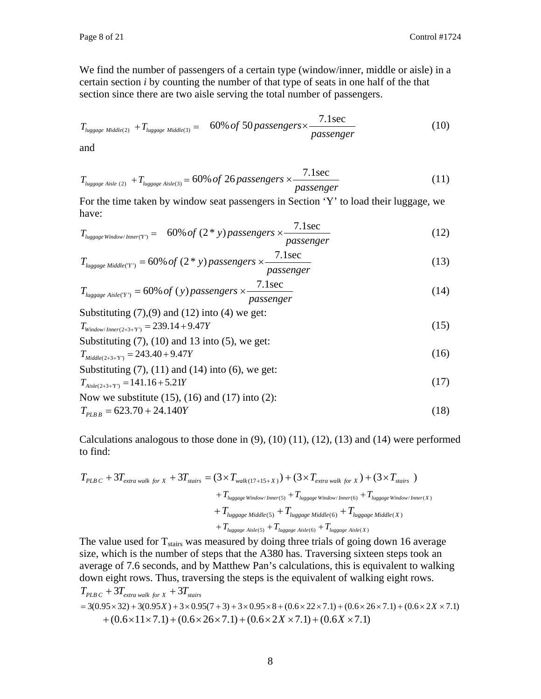We find the number of passengers of a certain type (window/inner, middle or aisle) in a certain section *i* by counting the number of that type of seats in one half of the that section since there are two aisle serving the total number of passengers.

$$
T_{\text{luggage Middle(2)}} + T_{\text{luggage Middle(3)}} = 60\% of 50 passengers \times \frac{7.1sec}{passenger}
$$
 (10)

and

$$
T_{\text{luggage Aisle (2)}} + T_{\text{luggage Aisle (3)}} = 60\% \text{ of } 26 \text{ passengers} \times \frac{7.1 \text{sec}}{\text{passenger}}
$$
(11)

For the time taken by window seat passengers in Section 'Y' to load their luggage, we have:

$$
T_{\text{luggage Window/Inner(Y)}} = 60\% of (2*y) passengers \times \frac{7.1sec}{passenger}
$$
 (12)

$$
T_{\text{luggage Middle}(Y)} = 60\% \text{ of } (2 * y) \text{ passengers} \times \frac{7.1 \text{sec}}{\text{passenger}}
$$
\n(13)

$$
T_{\text{luggage Aisle(Y')}} = 60\% \text{ of (y) passengers} \times \frac{7.1 \text{ sec}}{\text{passenger}}
$$
\n
$$
\text{Substituting (7) (0) and (12) into (4) we get:}
$$
\n
$$
(14)
$$

Substituting (7),(9) and (12) into (4) we get:  
\n
$$
T_{\text{Window/Inner}(2+3+Y)} = 239.14 + 9.47Y
$$
\n(15)

Substituting (7), (10) and 13 into (5), we get:  
\n
$$
T_{\text{Middle}(2+3+Y)} = 243.40 + 9.47Y
$$
\n(16)

Substituting (7), (11) and (14) into (6), we get:  
\n
$$
T_{Aisle(2+3+Y)} = 141.16 + 5.21Y
$$
\n(17)

Now we substitute (15), (16) and (17) into (2):  
\n
$$
T_{PLBB} = 623.70 + 24.140Y
$$
\n(18)

Calculations analogous to those done in  $(9)$ ,  $(10)$   $(11)$ ,  $(12)$ ,  $(13)$  and  $(14)$  were performed to find:

$$
T_{PLB\ C} + 3T_{extra\ walk\ for\ X} + 3T_{statics} = (3 \times T_{walk(17+15+X)}) + (3 \times T_{extra\ walk\ for\ X}) + (3 \times T_{statics})
$$
  
+ 
$$
T_{lugage\ Window/Inner(5)} + T_{lugage\ Window/Inner(6)} + T_{lugage\ Window/Inner(X)}
$$
  
+ 
$$
T_{lugage\ Middle(5)} + T_{lugage\ Middle(6)} + T_{lugage\ Middle(X)}
$$
  
+ 
$$
T_{lugage\ Aisle(5)} + T_{lugage\ Aisle(6)} + T_{lugage\ Aisle(X)}
$$

The value used for  $T_{\text{stairs}}$  was measured by doing three trials of going down 16 average size, which is the number of steps that the A380 has. Traversing sixteen steps took an average of 7.6 seconds, and by Matthew Pan's calculations, this is equivalent to walking down eight rows. Thus, traversing the steps is the equivalent of walking eight rows.  $T_{PLBC} + 3T_{extra \, walk \, for \, X} + 3T_{stairs}$  $= 3(0.95 \times 32) + 3(0.95X) + 3 \times 0.95(7 + 3) + 3 \times 0.95 \times 8 + (0.6 \times 22 \times 7.1) + (0.6 \times 26 \times 7.1) + (0.6 \times 2X \times 7.1)$  $+(0.6\times11\times7.1)+(0.6\times26\times7.1)+(0.6\times2X\times7.1)+(0.6X\times7.1)$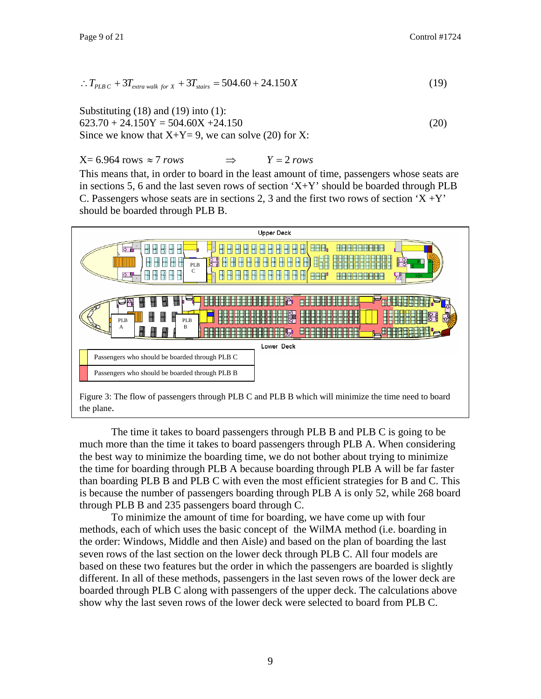$$
\therefore T_{PLB\ C} + 3T_{extra\ walk\ for\ X} + 3T_{stairs} = 504.60 + 24.150X \tag{19}
$$

Substituting  $(18)$  and  $(19)$  into  $(1)$ :  $623.70 + 24.150Y = 504.60X + 24.150$  (20) Since we know that  $X+Y=9$ , we can solve (20) for X:

 $X= 6.964$  *rows*  $\approx 7$  *rows*  $\implies$   $Y=2$  *rows* 

This means that, in order to board in the least amount of time, passengers whose seats are in sections 5, 6 and the last seven rows of section  $X+Y$  should be boarded through PLB C. Passengers whose seats are in sections 2, 3 and the first two rows of section  $X + Y$ should be boarded through PLB B.



Figure 3: The flow of passengers through PLB C and PLB B which will minimize the time need to board the plane.

The time it takes to board passengers through PLB B and PLB C is going to be much more than the time it takes to board passengers through PLB A. When considering the best way to minimize the boarding time, we do not bother about trying to minimize the time for boarding through PLB A because boarding through PLB A will be far faster than boarding PLB B and PLB C with even the most efficient strategies for B and C. This is because the number of passengers boarding through PLB A is only 52, while 268 board through PLB B and 235 passengers board through C.

To minimize the amount of time for boarding, we have come up with four methods, each of which uses the basic concept of the WilMA method (i.e. boarding in the order: Windows, Middle and then Aisle) and based on the plan of boarding the last seven rows of the last section on the lower deck through PLB C. All four models are based on these two features but the order in which the passengers are boarded is slightly different. In all of these methods, passengers in the last seven rows of the lower deck are boarded through PLB C along with passengers of the upper deck. The calculations above show why the last seven rows of the lower deck were selected to board from PLB C.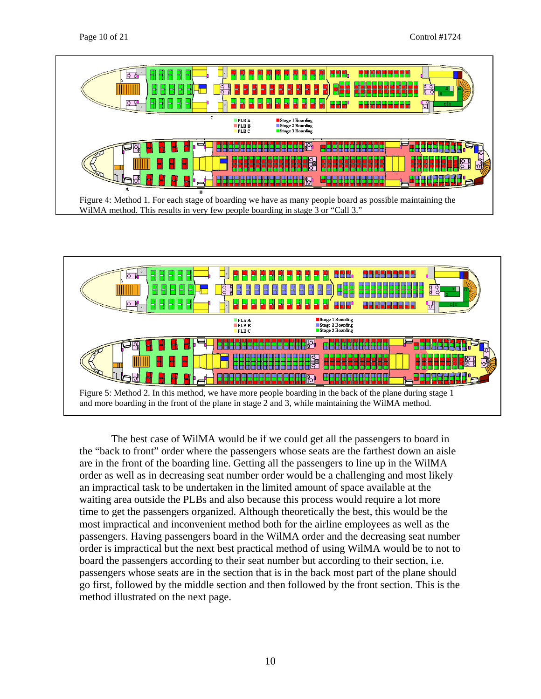



The best case of WilMA would be if we could get all the passengers to board in the "back to front" order where the passengers whose seats are the farthest down an aisle are in the front of the boarding line. Getting all the passengers to line up in the WilMA order as well as in decreasing seat number order would be a challenging and most likely an impractical task to be undertaken in the limited amount of space available at the waiting area outside the PLBs and also because this process would require a lot more time to get the passengers organized. Although theoretically the best, this would be the most impractical and inconvenient method both for the airline employees as well as the passengers. Having passengers board in the WilMA order and the decreasing seat number order is impractical but the next best practical method of using WilMA would be to not to board the passengers according to their seat number but according to their section, i.e. passengers whose seats are in the section that is in the back most part of the plane should go first, followed by the middle section and then followed by the front section. This is the method illustrated on the next page.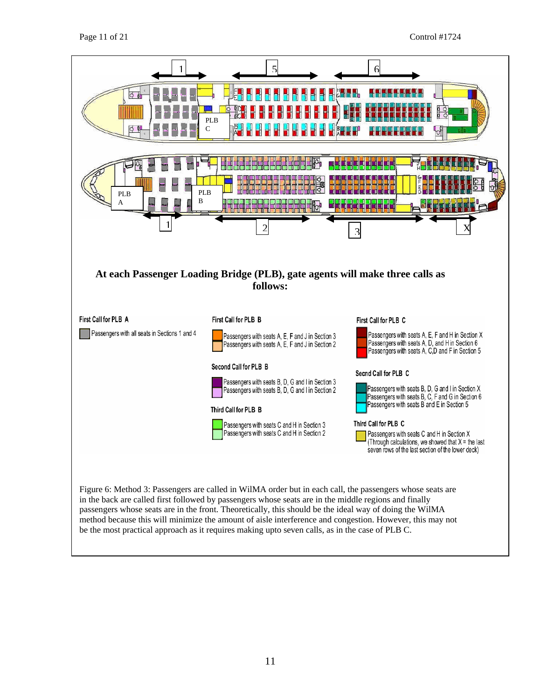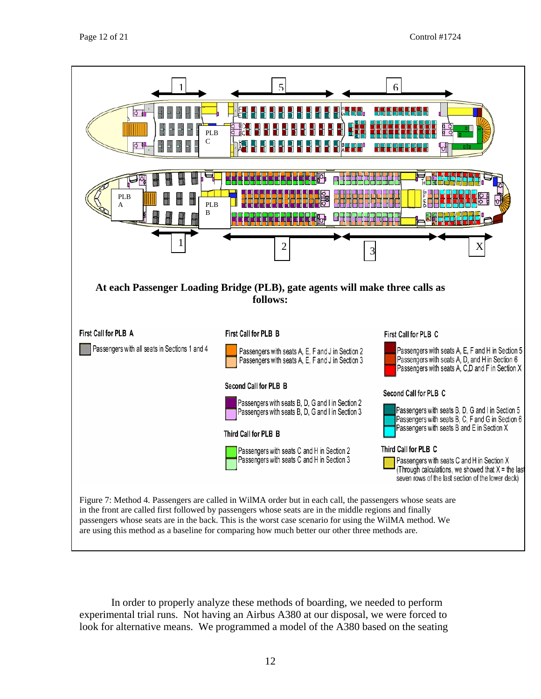

In order to properly analyze these methods of boarding, we needed to perform experimental trial runs. Not having an Airbus A380 at our disposal, we were forced to look for alternative means. We programmed a model of the A380 based on the seating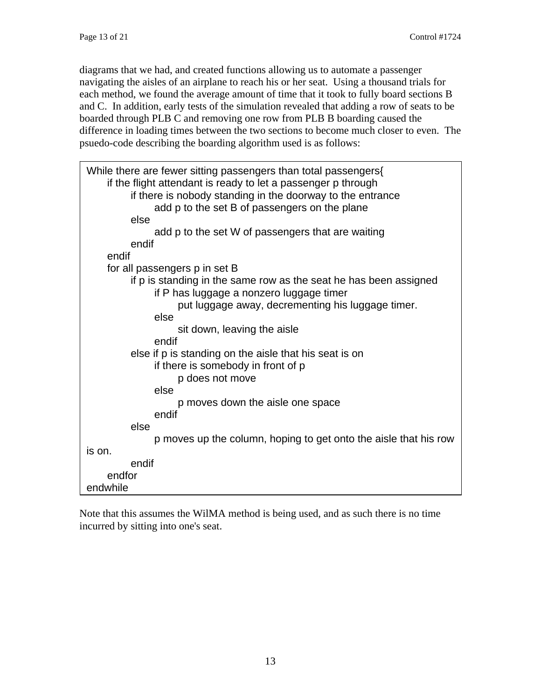diagrams that we had, and created functions allowing us to automate a passenger navigating the aisles of an airplane to reach his or her seat. Using a thousand trials for each method, we found the average amount of time that it took to fully board sections B and C. In addition, early tests of the simulation revealed that adding a row of seats to be boarded through PLB C and removing one row from PLB B boarding caused the difference in loading times between the two sections to become much closer to even. The psuedo-code describing the boarding algorithm used is as follows:

| While there are fewer sitting passengers than total passengers{<br>if the flight attendant is ready to let a passenger p through<br>if there is nobody standing in the doorway to the entrance<br>add p to the set B of passengers on the plane<br>else<br>add p to the set W of passengers that are waiting |
|--------------------------------------------------------------------------------------------------------------------------------------------------------------------------------------------------------------------------------------------------------------------------------------------------------------|
| endif                                                                                                                                                                                                                                                                                                        |
| endif                                                                                                                                                                                                                                                                                                        |
| for all passengers p in set B                                                                                                                                                                                                                                                                                |
| if p is standing in the same row as the seat he has been assigned<br>if P has luggage a nonzero luggage timer<br>put luggage away, decrementing his luggage timer.<br>else                                                                                                                                   |
| sit down, leaving the aisle                                                                                                                                                                                                                                                                                  |
| endif<br>else if p is standing on the aisle that his seat is on<br>if there is somebody in front of p<br>p does not move<br>else<br>p moves down the aisle one space<br>endif                                                                                                                                |
| else                                                                                                                                                                                                                                                                                                         |
| p moves up the column, hoping to get onto the aisle that his row                                                                                                                                                                                                                                             |
| is on.                                                                                                                                                                                                                                                                                                       |
| endif                                                                                                                                                                                                                                                                                                        |
| endfor<br>endwhile                                                                                                                                                                                                                                                                                           |

Note that this assumes the WilMA method is being used, and as such there is no time incurred by sitting into one's seat.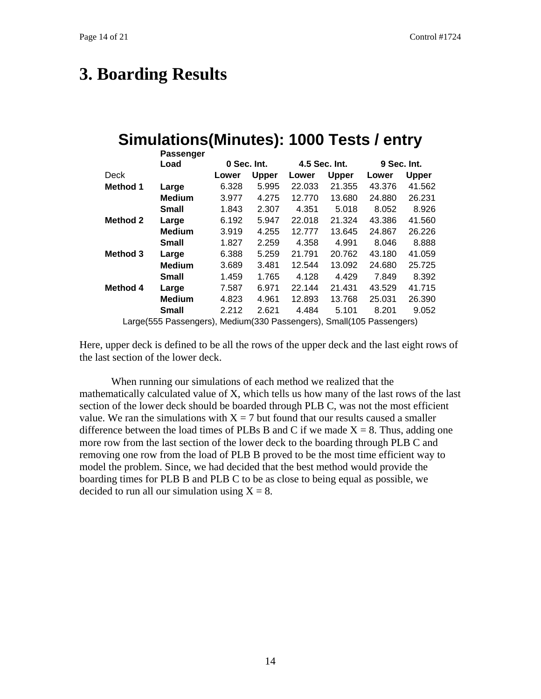## **3. Boarding Results**

## **Simulations(Minutes): 1000 Tests / entry**

|                 | Passenger     |             |              |               |              |             |              |
|-----------------|---------------|-------------|--------------|---------------|--------------|-------------|--------------|
|                 | Load          | 0 Sec. Int. |              | 4.5 Sec. Int. |              | 9 Sec. Int. |              |
| Deck            |               | Lower       | <b>Upper</b> | Lower         | <b>Upper</b> | Lower       | <b>Upper</b> |
| <b>Method 1</b> | Large         | 6.328       | 5.995        | 22.033        | 21.355       | 43.376      | 41.562       |
|                 | <b>Medium</b> | 3.977       | 4.275        | 12.770        | 13.680       | 24.880      | 26.231       |
|                 | <b>Small</b>  | 1.843       | 2.307        | 4.351         | 5.018        | 8.052       | 8.926        |
| <b>Method 2</b> | Large         | 6.192       | 5.947        | 22.018        | 21.324       | 43.386      | 41.560       |
|                 | <b>Medium</b> | 3.919       | 4.255        | 12.777        | 13.645       | 24.867      | 26.226       |
|                 | <b>Small</b>  | 1.827       | 2.259        | 4.358         | 4.991        | 8.046       | 8.888        |
| <b>Method 3</b> | Large         | 6.388       | 5.259        | 21.791        | 20.762       | 43.180      | 41.059       |
|                 | <b>Medium</b> | 3.689       | 3.481        | 12.544        | 13.092       | 24.680      | 25.725       |
|                 | <b>Small</b>  | 1.459       | 1.765        | 4.128         | 4.429        | 7.849       | 8.392        |
| Method 4        | Large         | 7.587       | 6.971        | 22.144        | 21.431       | 43.529      | 41.715       |
|                 | <b>Medium</b> | 4.823       | 4.961        | 12.893        | 13.768       | 25.031      | 26.390       |
|                 | Small         | 2.212       | 2.621        | 4.484         | 5.101        | 8.201       | 9.052        |
|                 |               |             |              |               |              |             |              |

Large(555 Passengers), Medium(330 Passengers), Small(105 Passengers)

Here, upper deck is defined to be all the rows of the upper deck and the last eight rows of the last section of the lower deck.

When running our simulations of each method we realized that the mathematically calculated value of X, which tells us how many of the last rows of the last section of the lower deck should be boarded through PLB C, was not the most efficient value. We ran the simulations with  $X = 7$  but found that our results caused a smaller difference between the load times of PLBs B and C if we made  $X = 8$ . Thus, adding one more row from the last section of the lower deck to the boarding through PLB C and removing one row from the load of PLB B proved to be the most time efficient way to model the problem. Since, we had decided that the best method would provide the boarding times for PLB B and PLB C to be as close to being equal as possible, we decided to run all our simulation using  $X = 8$ .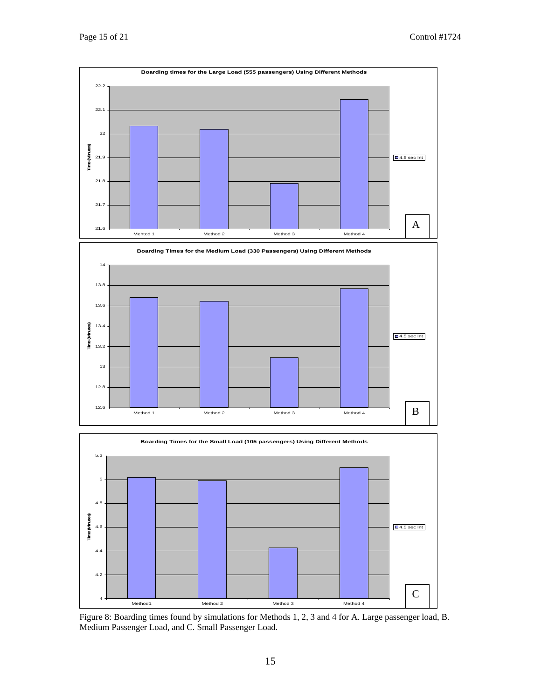



Figure 8: Boarding times found by simulations for Methods 1, 2, 3 and 4 for A. Large passenger load, B. Medium Passenger Load, and C. Small Passenger Load.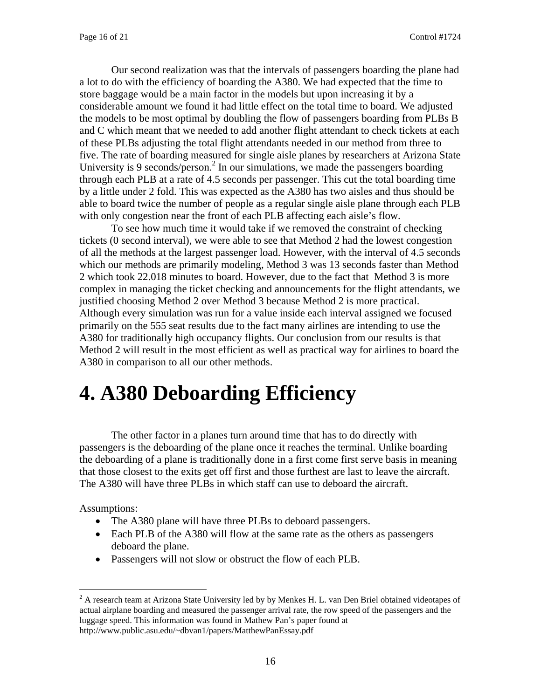Our second realization was that the intervals of passengers boarding the plane had a lot to do with the efficiency of boarding the A380. We had expected that the time to store baggage would be a main factor in the models but upon increasing it by a considerable amount we found it had little effect on the total time to board. We adjusted the models to be most optimal by doubling the flow of passengers boarding from PLBs B and C which meant that we needed to add another flight attendant to check tickets at each of these PLBs adjusting the total flight attendants needed in our method from three to five. The rate of boarding measured for single aisle planes by researchers at Arizona State University is 9 seconds/person.<sup>2</sup> In our simulations, we made the passengers boarding through each PLB at a rate of 4.5 seconds per passenger. This cut the total boarding time by a little under 2 fold. This was expected as the A380 has two aisles and thus should be able to board twice the number of people as a regular single aisle plane through each PLB with only congestion near the front of each PLB affecting each aisle's flow.

To see how much time it would take if we removed the constraint of checking tickets (0 second interval), we were able to see that Method 2 had the lowest congestion of all the methods at the largest passenger load. However, with the interval of 4.5 seconds which our methods are primarily modeling, Method 3 was 13 seconds faster than Method 2 which took 22.018 minutes to board. However, due to the fact that Method 3 is more complex in managing the ticket checking and announcements for the flight attendants, we justified choosing Method 2 over Method 3 because Method 2 is more practical. Although every simulation was run for a value inside each interval assigned we focused primarily on the 555 seat results due to the fact many airlines are intending to use the A380 for traditionally high occupancy flights. Our conclusion from our results is that Method 2 will result in the most efficient as well as practical way for airlines to board the A380 in comparison to all our other methods.

# **4. A380 Deboarding Efficiency**

The other factor in a planes turn around time that has to do directly with passengers is the deboarding of the plane once it reaches the terminal. Unlike boarding the deboarding of a plane is traditionally done in a first come first serve basis in meaning that those closest to the exits get off first and those furthest are last to leave the aircraft. The A380 will have three PLBs in which staff can use to deboard the aircraft.

Assumptions:

- The A380 plane will have three PLBs to deboard passengers.
- Each PLB of the A380 will flow at the same rate as the others as passengers deboard the plane.
- Passengers will not slow or obstruct the flow of each PLB.

<span id="page-15-0"></span> $\frac{1}{2}$ <sup>2</sup> A research team at Arizona State University led by by Menkes H. L. van Den Briel obtained videotapes of actual airplane boarding and measured the passenger arrival rate, the row speed of the passengers and the luggage speed. This information was found in Mathew Pan's paper found at http://www.public.asu.edu/~dbvan1/papers/MatthewPanEssay.pdf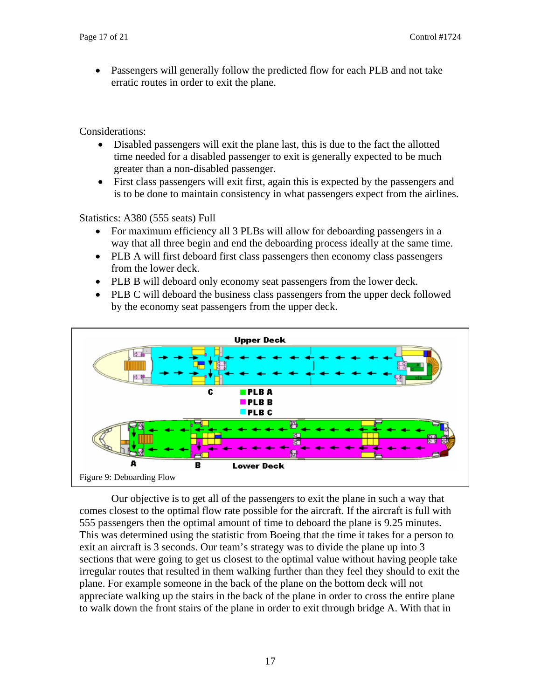Passengers will generally follow the predicted flow for each PLB and not take erratic routes in order to exit the plane.

Considerations:

- Disabled passengers will exit the plane last, this is due to the fact the allotted time needed for a disabled passenger to exit is generally expected to be much greater than a non-disabled passenger.
- First class passengers will exit first, again this is expected by the passengers and is to be done to maintain consistency in what passengers expect from the airlines.

Statistics: A380 (555 seats) Full

- For maximum efficiency all 3 PLBs will allow for deboarding passengers in a way that all three begin and end the deboarding process ideally at the same time.
- PLB A will first deboard first class passengers then economy class passengers from the lower deck.
- PLB B will deboard only economy seat passengers from the lower deck.
- PLB C will deboard the business class passengers from the upper deck followed by the economy seat passengers from the upper deck.



Our objective is to get all of the passengers to exit the plane in such a way that comes closest to the optimal flow rate possible for the aircraft. If the aircraft is full with 555 passengers then the optimal amount of time to deboard the plane is 9.25 minutes. This was determined using the statistic from Boeing that the time it takes for a person to exit an aircraft is 3 seconds. Our team's strategy was to divide the plane up into 3 sections that were going to get us closest to the optimal value without having people take irregular routes that resulted in them walking further than they feel they should to exit the plane. For example someone in the back of the plane on the bottom deck will not appreciate walking up the stairs in the back of the plane in order to cross the entire plane to walk down the front stairs of the plane in order to exit through bridge A. With that in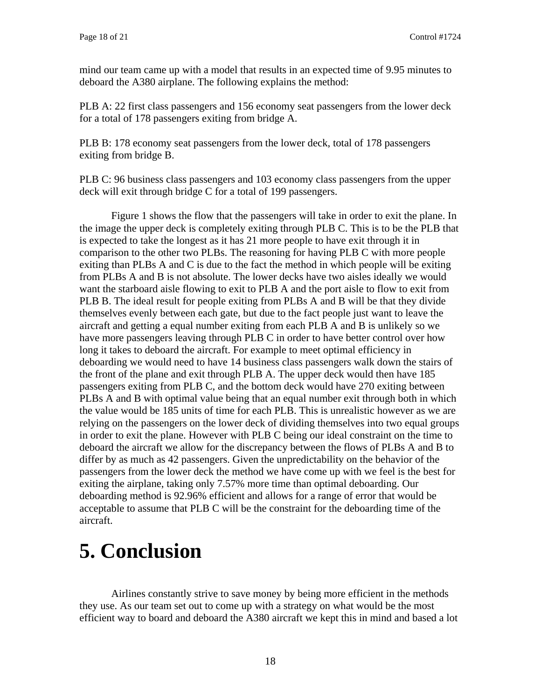mind our team came up with a model that results in an expected time of 9.95 minutes to deboard the A380 airplane. The following explains the method:

PLB A: 22 first class passengers and 156 economy seat passengers from the lower deck for a total of 178 passengers exiting from bridge A.

PLB B: 178 economy seat passengers from the lower deck, total of 178 passengers exiting from bridge B.

PLB C: 96 business class passengers and 103 economy class passengers from the upper deck will exit through bridge C for a total of 199 passengers.

Figure 1 shows the flow that the passengers will take in order to exit the plane. In the image the upper deck is completely exiting through PLB C. This is to be the PLB that is expected to take the longest as it has 21 more people to have exit through it in comparison to the other two PLBs. The reasoning for having PLB C with more people exiting than PLBs A and C is due to the fact the method in which people will be exiting from PLBs A and B is not absolute. The lower decks have two aisles ideally we would want the starboard aisle flowing to exit to PLB A and the port aisle to flow to exit from PLB B. The ideal result for people exiting from PLBs A and B will be that they divide themselves evenly between each gate, but due to the fact people just want to leave the aircraft and getting a equal number exiting from each PLB A and B is unlikely so we have more passengers leaving through PLB C in order to have better control over how long it takes to deboard the aircraft. For example to meet optimal efficiency in deboarding we would need to have 14 business class passengers walk down the stairs of the front of the plane and exit through PLB A. The upper deck would then have 185 passengers exiting from PLB C, and the bottom deck would have 270 exiting between PLBs A and B with optimal value being that an equal number exit through both in which the value would be 185 units of time for each PLB. This is unrealistic however as we are relying on the passengers on the lower deck of dividing themselves into two equal groups in order to exit the plane. However with PLB C being our ideal constraint on the time to deboard the aircraft we allow for the discrepancy between the flows of PLBs A and B to differ by as much as 42 passengers. Given the unpredictability on the behavior of the passengers from the lower deck the method we have come up with we feel is the best for exiting the airplane, taking only 7.57% more time than optimal deboarding. Our deboarding method is 92.96% efficient and allows for a range of error that would be acceptable to assume that PLB C will be the constraint for the deboarding time of the aircraft.

# **5. Conclusion**

Airlines constantly strive to save money by being more efficient in the methods they use. As our team set out to come up with a strategy on what would be the most efficient way to board and deboard the A380 aircraft we kept this in mind and based a lot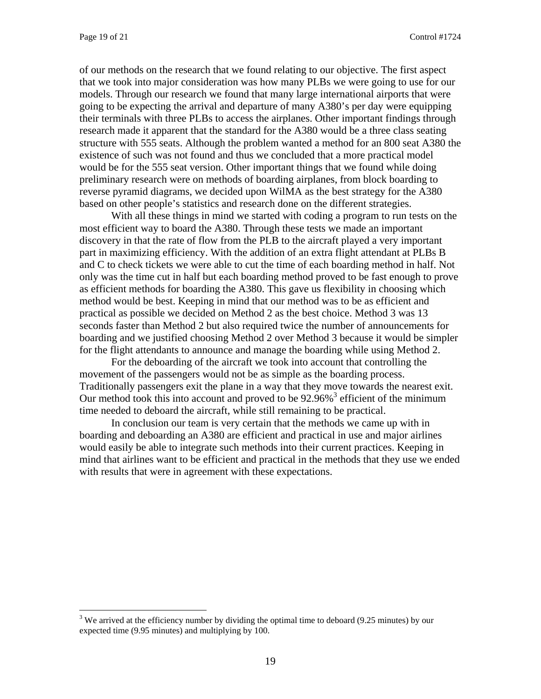of our methods on the research that we found relating to our objective. The first aspect that we took into major consideration was how many PLBs we were going to use for our models. Through our research we found that many large international airports that were going to be expecting the arrival and departure of many A380's per day were equipping their terminals with three PLBs to access the airplanes. Other important findings through research made it apparent that the standard for the A380 would be a three class seating structure with 555 seats. Although the problem wanted a method for an 800 seat A380 the existence of such was not found and thus we concluded that a more practical model would be for the 555 seat version. Other important things that we found while doing preliminary research were on methods of boarding airplanes, from block boarding to reverse pyramid diagrams, we decided upon WilMA as the best strategy for the A380 based on other people's statistics and research done on the different strategies.

With all these things in mind we started with coding a program to run tests on the most efficient way to board the A380. Through these tests we made an important discovery in that the rate of flow from the PLB to the aircraft played a very important part in maximizing efficiency. With the addition of an extra flight attendant at PLBs B and C to check tickets we were able to cut the time of each boarding method in half. Not only was the time cut in half but each boarding method proved to be fast enough to prove as efficient methods for boarding the A380. This gave us flexibility in choosing which method would be best. Keeping in mind that our method was to be as efficient and practical as possible we decided on Method 2 as the best choice. Method 3 was 13 seconds faster than Method 2 but also required twice the number of announcements for boarding and we justified choosing Method 2 over Method 3 because it would be simpler for the flight attendants to announce and manage the boarding while using Method 2.

For the deboarding of the aircraft we took into account that controlling the movement of the passengers would not be as simple as the boarding process. Traditionally passengers exit the plane in a way that they move towards the nearest exit. Our method took this into account and proved to be  $92.96\%$ <sup>[3](#page-18-0)</sup> efficient of the minimum time needed to deboard the aircraft, while still remaining to be practical.

In conclusion our team is very certain that the methods we came up with in boarding and deboarding an A380 are efficient and practical in use and major airlines would easily be able to integrate such methods into their current practices. Keeping in mind that airlines want to be efficient and practical in the methods that they use we ended with results that were in agreement with these expectations.

<span id="page-18-0"></span> $3$  We arrived at the efficiency number by dividing the optimal time to deboard (9.25 minutes) by our expected time (9.95 minutes) and multiplying by 100.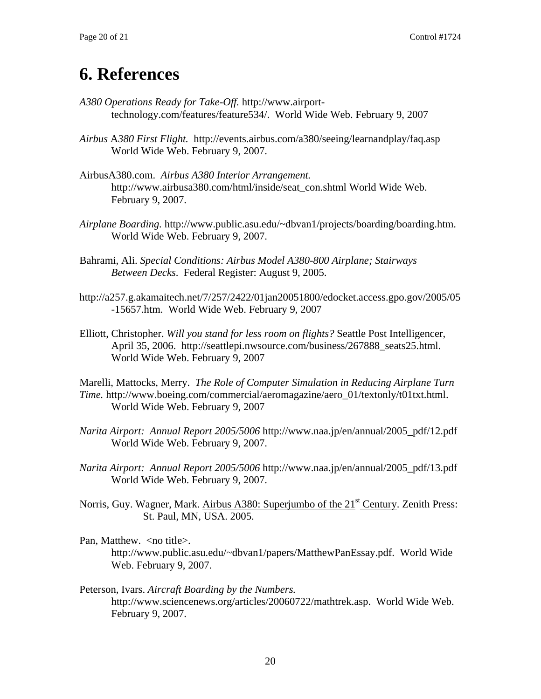### **6. References**

- *A380 Operations Ready for Take-Off.* http://www.airporttechnology.com/features/feature534/. World Wide Web. February 9, 2007
- *Airbus* A*380 First Flight.* http://events.airbus.com/a380/seeing/learnandplay/faq.asp World Wide Web. February 9, 2007.
- AirbusA380.com. *Airbus A380 Interior Arrangement.* http://www.airbusa380.com/html/inside/seat\_con.shtml World Wide Web. February 9, 2007.
- *Airplane Boarding.* http://www.public.asu.edu/~dbvan1/projects/boarding/boarding.htm. World Wide Web. February 9, 2007.
- Bahrami, Ali. *Special Conditions: Airbus Model A380-800 Airplane; Stairways Between Decks*. Federal Register: August 9, 2005.
- http://a257.g.akamaitech.net/7/257/2422/01jan20051800/edocket.access.gpo.gov/2005/05 -15657.htm. World Wide Web. February 9, 2007
- Elliott, Christopher. *Will you stand for less room on flights?* Seattle Post Intelligencer, April 35, 2006. http://seattlepi.nwsource.com/business/267888\_seats25.html. World Wide Web. February 9, 2007

Marelli, Mattocks, Merry. *The Role of Computer Simulation in Reducing Airplane Turn Time.* http://www.boeing.com/commercial/aeromagazine/aero 01/textonly/t01txt.html. World Wide Web. February 9, 2007

- *Narita Airport: Annual Report 2005/5006* http://www.naa.jp/en/annual/2005\_pdf/12.pdf World Wide Web. February 9, 2007.
- *Narita Airport: Annual Report 2005/5006* http://www.naa.jp/en/annual/2005\_pdf/13.pdf World Wide Web. February 9, 2007.
- Norris, Guy. Wagner, Mark. Airbus A380: Superjumbo of the 21<sup>st</sup> Century. Zenith Press: St. Paul, MN, USA. 2005.
- Pan, Matthew. <no title>.

http://www.public.asu.edu/~dbvan1/papers/MatthewPanEssay.pdf. World Wide Web. February 9, 2007.

Peterson, Ivars. *Aircraft Boarding by the Numbers.* http://www.sciencenews.org/articles/20060722/mathtrek.asp. World Wide Web. February 9, 2007.